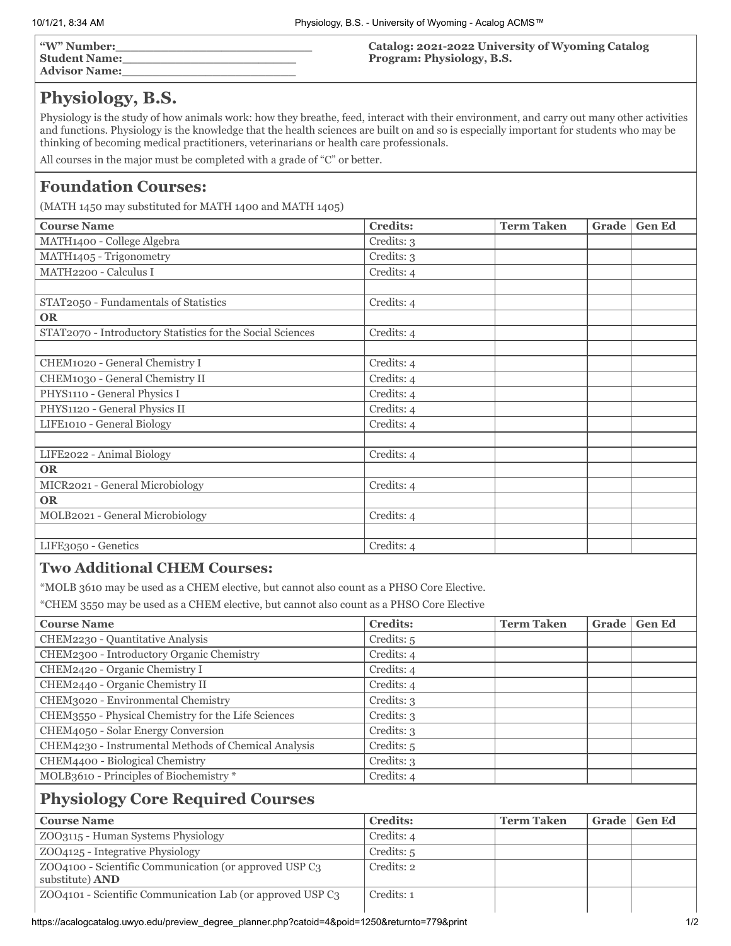| $\mathbf{w}$ " Number: |  |
|------------------------|--|
| <b>Student Name:</b>   |  |
| <b>Advisor Name:</b>   |  |

#### **Catalog: 2021-2022 University of Wyoming Catalog Program: Physiology, B.S.**

# **Physiology, B.S.**

Physiology is the study of how animals work: how they breathe, feed, interact with their environment, and carry out many other activities and functions. Physiology is the knowledge that the health sciences are built on and so is especially important for students who may be thinking of becoming medical practitioners, veterinarians or health care professionals.

All courses in the major must be completed with a grade of "C" or better.

# **Foundation Courses:**

(MATH 1450 may substituted for MATH 1400 and MATH 1405)

| <b>Course Name</b>                                         | <b>Credits:</b> | <b>Term Taken</b> | Grade | <b>Gen Ed</b> |
|------------------------------------------------------------|-----------------|-------------------|-------|---------------|
| MATH1400 - College Algebra                                 | Credits: 3      |                   |       |               |
| MATH1405 - Trigonometry                                    | Credits: 3      |                   |       |               |
| MATH2200 - Calculus I                                      | Credits: 4      |                   |       |               |
|                                                            |                 |                   |       |               |
| STAT2050 - Fundamentals of Statistics                      | Credits: 4      |                   |       |               |
| <b>OR</b>                                                  |                 |                   |       |               |
| STAT2070 - Introductory Statistics for the Social Sciences | Credits: 4      |                   |       |               |
|                                                            |                 |                   |       |               |
| CHEM1020 - General Chemistry I                             | Credits: 4      |                   |       |               |
| CHEM1030 - General Chemistry II                            | Credits: 4      |                   |       |               |
| PHYS1110 - General Physics I                               | Credits: 4      |                   |       |               |
| PHYS1120 - General Physics II                              | Credits: 4      |                   |       |               |
| LIFE1010 - General Biology                                 | Credits: 4      |                   |       |               |
|                                                            |                 |                   |       |               |
| LIFE2022 - Animal Biology                                  | Credits: 4      |                   |       |               |
| <b>OR</b>                                                  |                 |                   |       |               |
| MICR2021 - General Microbiology                            | Credits: 4      |                   |       |               |
| <b>OR</b>                                                  |                 |                   |       |               |
| MOLB2021 - General Microbiology                            | Credits: 4      |                   |       |               |
|                                                            |                 |                   |       |               |
| LIFE3050 - Genetics                                        | Credits: 4      |                   |       |               |

#### **Two Additional CHEM Courses:**

\*MOLB 3610 may be used as a CHEM elective, but cannot also count as a PHSO Core Elective.

\*CHEM 3550 may be used as a CHEM elective, but cannot also count as a PHSO Core Elective

| <b>Course Name</b>                                   | <b>Credits:</b> | <b>Term Taken</b> | Grade | <b>Gen Ed</b> |
|------------------------------------------------------|-----------------|-------------------|-------|---------------|
| CHEM2230 - Quantitative Analysis                     | Credits: 5      |                   |       |               |
| CHEM2300 - Introductory Organic Chemistry            | Credits: 4      |                   |       |               |
| CHEM2420 - Organic Chemistry I                       | Credits: 4      |                   |       |               |
| CHEM2440 - Organic Chemistry II                      | Credits: 4      |                   |       |               |
| CHEM3020 - Environmental Chemistry                   | Credits: 3      |                   |       |               |
| CHEM3550 - Physical Chemistry for the Life Sciences  | Credits: 3      |                   |       |               |
| CHEM4050 - Solar Energy Conversion                   | Credits: 3      |                   |       |               |
| CHEM4230 - Instrumental Methods of Chemical Analysis | Credits: 5      |                   |       |               |
| CHEM4400 - Biological Chemistry                      | Credits: 3      |                   |       |               |
| MOLB3610 - Principles of Biochemistry*               | Credits: 4      |                   |       |               |

### **Physiology Core Required Courses**

| <b>Course Name</b>                                                               | <b>Credits:</b> | <b>Term Taken</b> | Grade   Gen Ed |
|----------------------------------------------------------------------------------|-----------------|-------------------|----------------|
| ZOO3115 - Human Systems Physiology                                               | Credits: 4      |                   |                |
| ZOO4125 - Integrative Physiology                                                 | Credits: 5      |                   |                |
| ZOO4100 - Scientific Communication (or approved USP C3<br>substitute) <b>AND</b> | Credits: 2      |                   |                |
| ZOO4101 - Scientific Communication Lab (or approved USP C3)                      | Credits: 1      |                   |                |